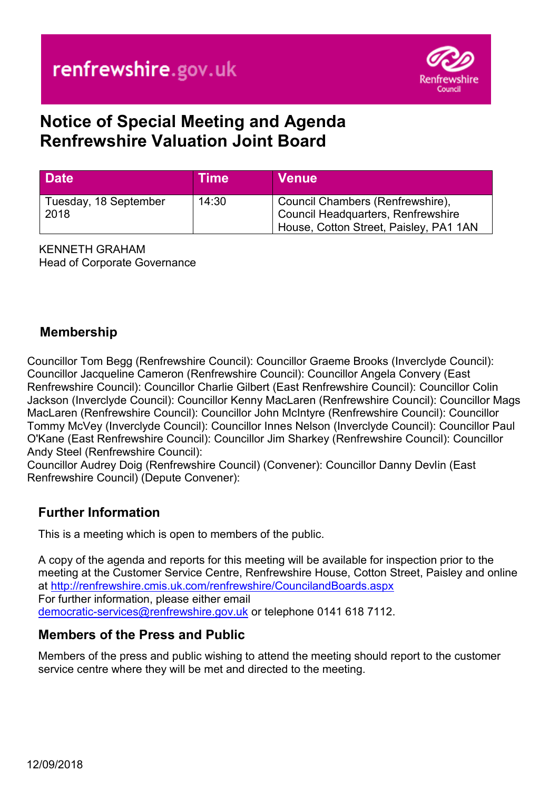

# **Notice of Special Meeting and Agenda Renfrewshire Valuation Joint Board**

| <b>Date</b>                   | Time  | <b>Venue</b>                                                                                                            |
|-------------------------------|-------|-------------------------------------------------------------------------------------------------------------------------|
| Tuesday, 18 September<br>2018 | 14:30 | Council Chambers (Renfrewshire),<br><b>Council Headquarters, Renfrewshire</b><br>House, Cotton Street, Paisley, PA1 1AN |

KENNETH GRAHAM Head of Corporate Governance

## **Membership**

Councillor Tom Begg (Renfrewshire Council): Councillor Graeme Brooks (Inverclyde Council): Councillor Jacqueline Cameron (Renfrewshire Council): Councillor Angela Convery (East Renfrewshire Council): Councillor Charlie Gilbert (East Renfrewshire Council): Councillor Colin Jackson (Inverclyde Council): Councillor Kenny MacLaren (Renfrewshire Council): Councillor Mags MacLaren (Renfrewshire Council): Councillor John McIntyre (Renfrewshire Council): Councillor Tommy McVey (Inverclyde Council): Councillor Innes Nelson (Inverclyde Council): Councillor Paul O'Kane (East Renfrewshire Council): Councillor Jim Sharkey (Renfrewshire Council): Councillor Andy Steel (Renfrewshire Council):

Councillor Audrey Doig (Renfrewshire Council) (Convener): Councillor Danny Devlin (East Renfrewshire Council) (Depute Convener):

### **Further Information**

This is a meeting which is open to members of the public.

A copy of the agenda and reports for this meeting will be available for inspection prior to the meeting at the Customer Service Centre, Renfrewshire House, Cotton Street, Paisley and online at <http://renfrewshire.cmis.uk.com/renfrewshire/CouncilandBoards.aspx> For further information, please either email [democratic-services@renfrewshire.gov.uk](mailto:democratic-services@renfrewshire.gov.uk) or telephone 0141 618 7112.

#### **Members of the Press and Public**

Members of the press and public wishing to attend the meeting should report to the customer service centre where they will be met and directed to the meeting.